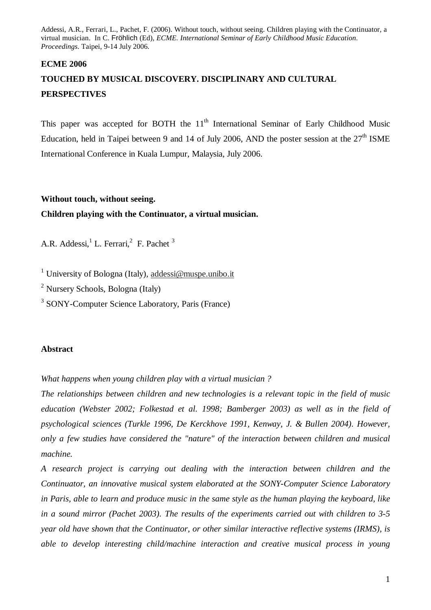#### **ECME 2006**

# **TOUCHED BY MUSICAL DISCOVERY. DISCIPLINARY AND CULTURAL PERSPECTIVES**

This paper was accepted for BOTH the 11<sup>th</sup> International Seminar of Early Childhood Music Education, held in Taipei between 9 and 14 of July 2006, AND the poster session at the 27<sup>th</sup> ISME International Conference in Kuala Lumpur, Malaysia, July 2006.

### **Without touch, without seeing.**

# **Children playing with the Continuator, a virtual musician.**

A.R. Addessi, <sup>1</sup> L. Ferrari, <sup>2</sup> F. Pachet <sup>3</sup>

<sup>1</sup> University of Bologna (Italy), addessi@muspe.unibo.it

<sup>2</sup> Nursery Schools, Bologna (Italy)

<sup>3</sup> SONY-Computer Science Laboratory, Paris (France)

#### **Abstract**

*What happens when young children play with a virtual musician ?* 

*The relationships between children and new technologies is a relevant topic in the field of music education (Webster 2002; Folkestad et al. 1998; Bamberger 2003) as well as in the field of psychological sciences (Turkle 1996, De Kerckhove 1991, Kenway, J. & Bullen 2004). However, only a few studies have considered the "nature" of the interaction between children and musical machine.* 

*A research project is carrying out dealing with the interaction between children and the Continuator, an innovative musical system elaborated at the SONY-Computer Science Laboratory in Paris, able to learn and produce music in the same style as the human playing the keyboard, like in a sound mirror (Pachet 2003). The results of the experiments carried out with children to 3-5 year old have shown that the Continuator, or other similar interactive reflective systems (IRMS), is able to develop interesting child/machine interaction and creative musical process in young*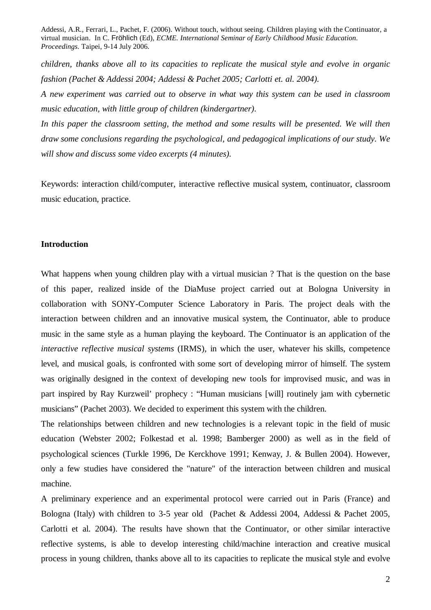*children, thanks above all to its capacities to replicate the musical style and evolve in organic fashion (Pachet & Addessi 2004; Addessi & Pachet 2005; Carlotti et. al. 2004).* 

*A new experiment was carried out to observe in what way this system can be used in classroom music education, with little group of children (kindergartner).* 

In this paper the classroom setting, the method and some results will be presented. We will then *draw some conclusions regarding the psychological, and pedagogical implications of our study. We will show and discuss some video excerpts (4 minutes).* 

Keywords: interaction child/computer, interactive reflective musical system, continuator, classroom music education, practice.

#### **Introduction**

What happens when young children play with a virtual musician ? That is the question on the base of this paper, realized inside of the DiaMuse project carried out at Bologna University in collaboration with SONY-Computer Science Laboratory in Paris. The project deals with the interaction between children and an innovative musical system, the Continuator, able to produce music in the same style as a human playing the keyboard. The Continuator is an application of the *interactive reflective musical systems* (IRMS), in which the user, whatever his skills, competence level, and musical goals, is confronted with some sort of developing mirror of himself. The system was originally designed in the context of developing new tools for improvised music, and was in part inspired by Ray Kurzweil' prophecy : "Human musicians [will] routinely jam with cybernetic musicians" (Pachet 2003). We decided to experiment this system with the children.

The relationships between children and new technologies is a relevant topic in the field of music education (Webster 2002; Folkestad et al. 1998; Bamberger 2000) as well as in the field of psychological sciences (Turkle 1996, De Kerckhove 1991; Kenway, J. & Bullen 2004). However, only a few studies have considered the "nature" of the interaction between children and musical machine.

A preliminary experience and an experimental protocol were carried out in Paris (France) and Bologna (Italy) with children to 3-5 year old (Pachet & Addessi 2004, Addessi & Pachet 2005, Carlotti et al. 2004). The results have shown that the Continuator, or other similar interactive reflective systems, is able to develop interesting child/machine interaction and creative musical process in young children, thanks above all to its capacities to replicate the musical style and evolve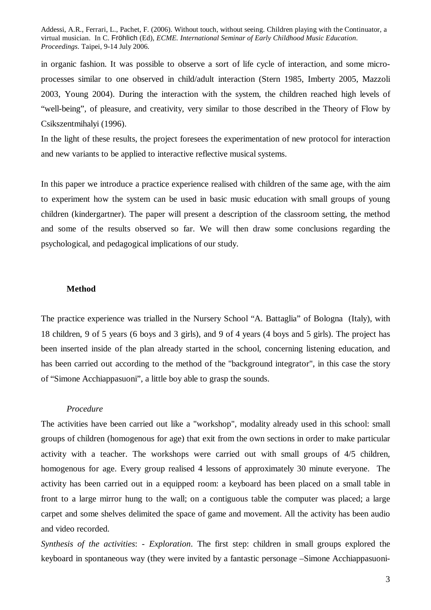in organic fashion. It was possible to observe a sort of life cycle of interaction, and some microprocesses similar to one observed in child/adult interaction (Stern 1985, Imberty 2005, Mazzoli 2003, Young 2004). During the interaction with the system, the children reached high levels of "well-being", of pleasure, and creativity, very similar to those described in the Theory of Flow by Csikszentmihalyi (1996).

In the light of these results, the project foresees the experimentation of new protocol for interaction and new variants to be applied to interactive reflective musical systems.

In this paper we introduce a practice experience realised with children of the same age, with the aim to experiment how the system can be used in basic music education with small groups of young children (kindergartner). The paper will present a description of the classroom setting, the method and some of the results observed so far. We will then draw some conclusions regarding the psychological, and pedagogical implications of our study.

#### **Method**

The practice experience was trialled in the Nursery School "A. Battaglia" of Bologna (Italy), with 18 children, 9 of 5 years (6 boys and 3 girls), and 9 of 4 years (4 boys and 5 girls). The project has been inserted inside of the plan already started in the school, concerning listening education, and has been carried out according to the method of the "background integrator", in this case the story of "Simone Acchiappasuoni", a little boy able to grasp the sounds.

#### *Procedure*

The activities have been carried out like a "workshop", modality already used in this school: small groups of children (homogenous for age) that exit from the own sections in order to make particular activity with a teacher. The workshops were carried out with small groups of 4/5 children, homogenous for age. Every group realised 4 lessons of approximately 30 minute everyone. The activity has been carried out in a equipped room: a keyboard has been placed on a small table in front to a large mirror hung to the wall; on a contiguous table the computer was placed; a large carpet and some shelves delimited the space of game and movement. All the activity has been audio and video recorded.

*Synthesis of the activities*: - *Exploration*. The first step: children in small groups explored the keyboard in spontaneous way (they were invited by a fantastic personage –Simone Acchiappasuoni-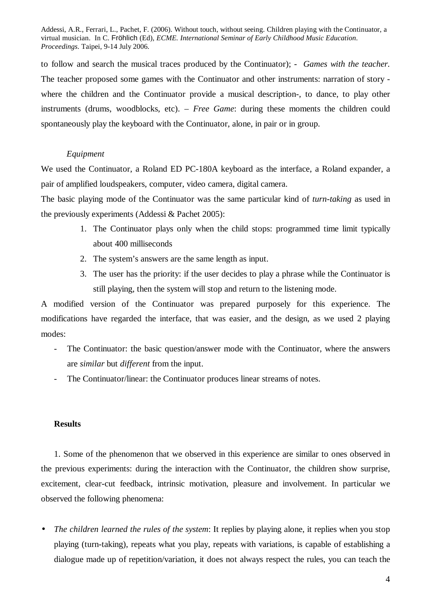to follow and search the musical traces produced by the Continuator); - *Games with the teacher.* The teacher proposed some games with the Continuator and other instruments: narration of story where the children and the Continuator provide a musical description-, to dance, to play other instruments (drums, woodblocks, etc). – *Free Game*: during these moments the children could spontaneously play the keyboard with the Continuator, alone, in pair or in group.

#### *Equipment*

We used the Continuator, a Roland ED PC-180A keyboard as the interface, a Roland expander, a pair of amplified loudspeakers, computer, video camera, digital camera.

The basic playing mode of the Continuator was the same particular kind of *turn-taking* as used in the previously experiments (Addessi & Pachet 2005):

- 1. The Continuator plays only when the child stops: programmed time limit typically about 400 milliseconds
- 2. The system's answers are the same length as input.
- 3. The user has the priority: if the user decides to play a phrase while the Continuator is still playing, then the system will stop and return to the listening mode.

A modified version of the Continuator was prepared purposely for this experience. The modifications have regarded the interface, that was easier, and the design, as we used 2 playing modes:

- The Continuator: the basic question/answer mode with the Continuator, where the answers are *similar* but *different* from the input.
- The Continuator/linear: the Continuator produces linear streams of notes.

### **Results**

1. Some of the phenomenon that we observed in this experience are similar to ones observed in the previous experiments: during the interaction with the Continuator, the children show surprise, excitement, clear-cut feedback, intrinsic motivation, pleasure and involvement. In particular we observed the following phenomena:

• *The children learned the rules of the system*: It replies by playing alone, it replies when you stop playing (turn-taking), repeats what you play, repeats with variations, is capable of establishing a dialogue made up of repetition/variation, it does not always respect the rules, you can teach the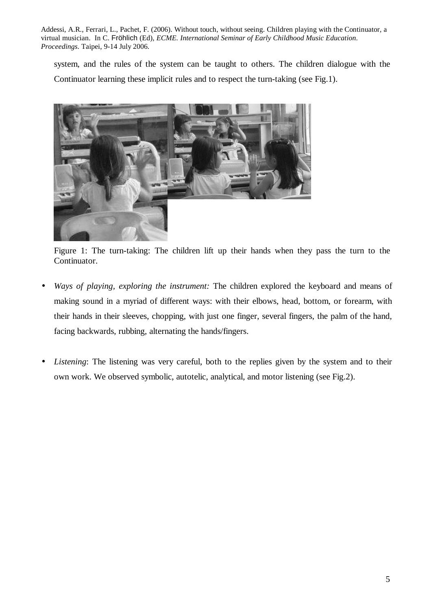system, and the rules of the system can be taught to others. The children dialogue with the Continuator learning these implicit rules and to respect the turn-taking (see Fig.1).



Figure 1: The turn-taking: The children lift up their hands when they pass the turn to the Continuator.

- *Ways of playing, exploring the instrument:* The children explored the keyboard and means of making sound in a myriad of different ways: with their elbows, head, bottom, or forearm, with their hands in their sleeves, chopping, with just one finger, several fingers, the palm of the hand, facing backwards, rubbing, alternating the hands/fingers.
- *Listening*: The listening was very careful, both to the replies given by the system and to their own work. We observed symbolic, autotelic, analytical, and motor listening (see Fig.2).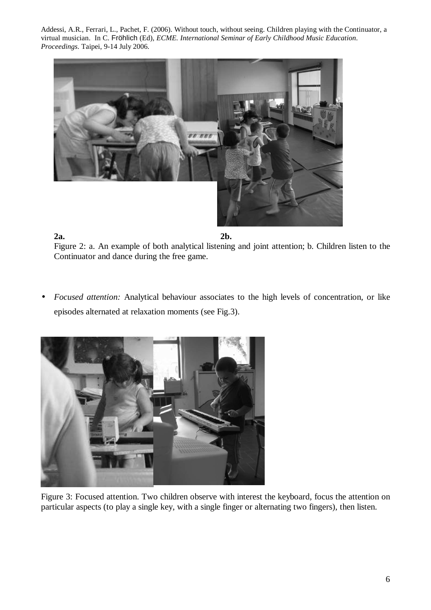

**2a. 2b.**  Figure 2: a. An example of both analytical listening and joint attention; b. Children listen to the Continuator and dance during the free game.

• *Focused attention:* Analytical behaviour associates to the high levels of concentration, or like episodes alternated at relaxation moments (see Fig.3).



Figure 3: Focused attention. Two children observe with interest the keyboard, focus the attention on particular aspects (to play a single key, with a single finger or alternating two fingers), then listen.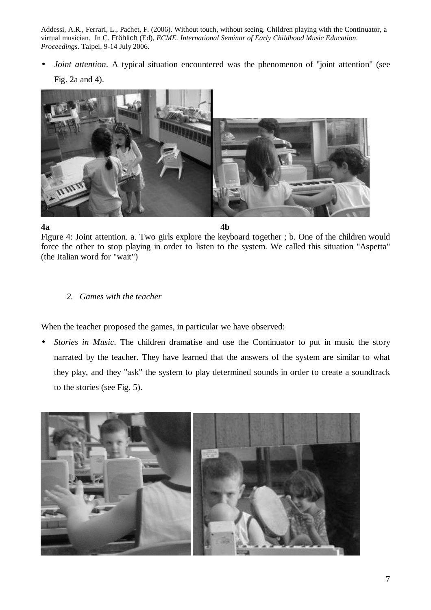*Joint attention*. A typical situation encountered was the phenomenon of "joint attention" (see Fig. 2a and 4).



**4a 4b** 

Figure 4: Joint attention. a. Two girls explore the keyboard together ; b. One of the children would force the other to stop playing in order to listen to the system. We called this situation "Aspetta" (the Italian word for "wait")

# *2. Games with the teacher*

When the teacher proposed the games, in particular we have observed:

• *Stories in Music*. The children dramatise and use the Continuator to put in music the story narrated by the teacher. They have learned that the answers of the system are similar to what they play, and they "ask" the system to play determined sounds in order to create a soundtrack to the stories (see Fig. 5).

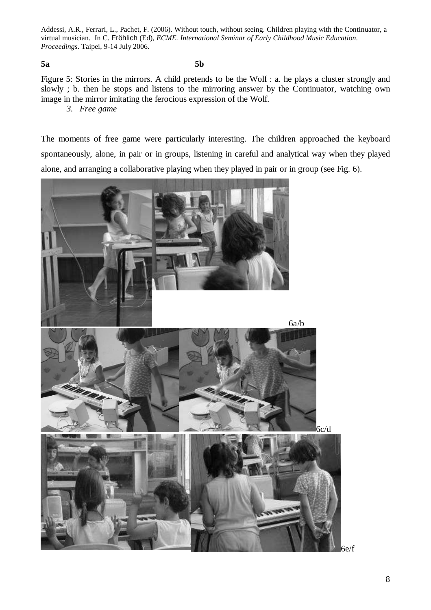#### **5a 5b**

Figure 5: Stories in the mirrors. A child pretends to be the Wolf : a. he plays a cluster strongly and slowly ; b. then he stops and listens to the mirroring answer by the Continuator, watching own image in the mirror imitating the ferocious expression of the Wolf.

*3. Free game* 

The moments of free game were particularly interesting. The children approached the keyboard spontaneously, alone, in pair or in groups, listening in careful and analytical way when they played alone, and arranging a collaborative playing when they played in pair or in group (see Fig. 6).

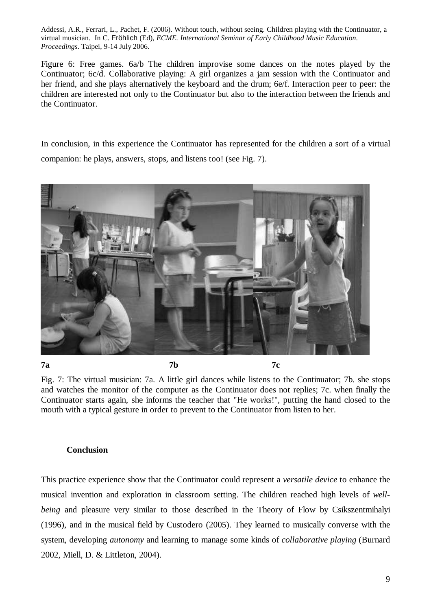Figure 6: Free games. 6a/b The children improvise some dances on the notes played by the Continuator; 6c/d. Collaborative playing: A girl organizes a jam session with the Continuator and her friend, and she plays alternatively the keyboard and the drum; 6e/f. Interaction peer to peer: the children are interested not only to the Continuator but also to the interaction between the friends and the Continuator.

In conclusion, in this experience the Continuator has represented for the children a sort of a virtual companion: he plays, answers, stops, and listens too! (see Fig. 7).



Fig. 7: The virtual musician: 7a. A little girl dances while listens to the Continuator; 7b. she stops and watches the monitor of the computer as the Continuator does not replies; 7c. when finally the Continuator starts again, she informs the teacher that "He works!", putting the hand closed to the mouth with a typical gesture in order to prevent to the Continuator from listen to her.

#### **Conclusion**

This practice experience show that the Continuator could represent a *versatile device* to enhance the musical invention and exploration in classroom setting. The children reached high levels of *wellbeing* and pleasure very similar to those described in the Theory of Flow by Csikszentmihalyi (1996), and in the musical field by Custodero (2005). They learned to musically converse with the system, developing *autonomy* and learning to manage some kinds of *collaborative playing* (Burnard 2002, Miell, D. & Littleton, 2004).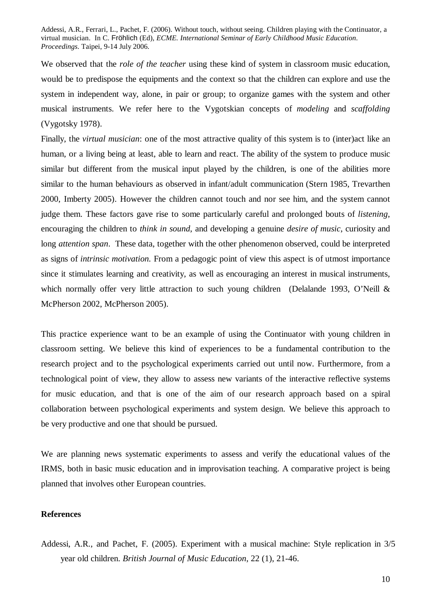We observed that the *role of the teacher* using these kind of system in classroom music education, would be to predispose the equipments and the context so that the children can explore and use the system in independent way, alone, in pair or group; to organize games with the system and other musical instruments. We refer here to the Vygotskian concepts of *modeling* and *scaffolding*  (Vygotsky 1978).

Finally, the *virtual musician*: one of the most attractive quality of this system is to (inter)act like an human, or a living being at least, able to learn and react. The ability of the system to produce music similar but different from the musical input played by the children, is one of the abilities more similar to the human behaviours as observed in infant/adult communication (Stern 1985, Trevarthen 2000, Imberty 2005). However the children cannot touch and nor see him, and the system cannot judge them. These factors gave rise to some particularly careful and prolonged bouts of *listening*, encouraging the children to *think in sound*, and developing a genuine *desire of music*, curiosity and long *attention span*. These data, together with the other phenomenon observed, could be interpreted as signs of *intrinsic motivation.* From a pedagogic point of view this aspect is of utmost importance since it stimulates learning and creativity, as well as encouraging an interest in musical instruments, which normally offer very little attraction to such young children (Delalande 1993, O'Neill & McPherson 2002, McPherson 2005).

This practice experience want to be an example of using the Continuator with young children in classroom setting. We believe this kind of experiences to be a fundamental contribution to the research project and to the psychological experiments carried out until now. Furthermore, from a technological point of view, they allow to assess new variants of the interactive reflective systems for music education, and that is one of the aim of our research approach based on a spiral collaboration between psychological experiments and system design. We believe this approach to be very productive and one that should be pursued.

We are planning news systematic experiments to assess and verify the educational values of the IRMS, both in basic music education and in improvisation teaching. A comparative project is being planned that involves other European countries.

#### **References**

Addessi, A.R., and Pachet, F. (2005). Experiment with a musical machine: Style replication in 3/5 year old children. *British Journal of Music Education*, 22 (1), 21-46.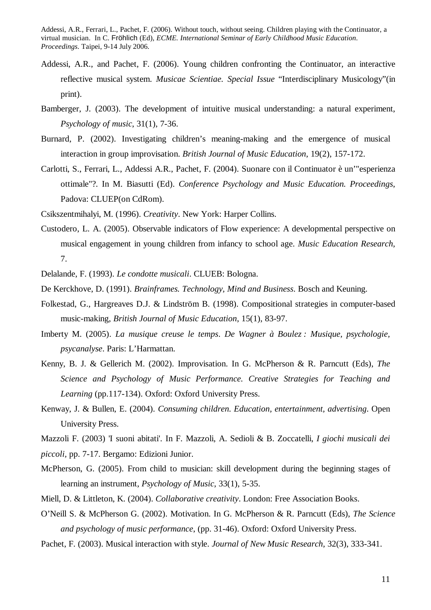- Addessi, A.R., and Pachet, F. (2006). Young children confronting the Continuator, an interactive reflective musical system. *Musicae Scientiae. Special Issue* "Interdisciplinary Musicology"(in print).
- Bamberger, J. (2003). The development of intuitive musical understanding: a natural experiment, *Psychology of music*, 31(1), 7-36.
- Burnard, P. (2002). Investigating children's meaning-making and the emergence of musical interaction in group improvisation. *British Journal of Music Education*, 19(2), 157-172.
- Carlotti, S., Ferrari, L., Addessi A.R., Pachet, F. (2004). Suonare con il Continuator è un'"esperienza ottimale"?. In M. Biasutti (Ed). *Conference Psychology and Music Education. Proceedings*, Padova: CLUEP(on CdRom).
- Csikszentmihalyi, M. (1996). *Creativity*. New York: Harper Collins.
- Custodero, L. A. (2005). Observable indicators of Flow experience: A developmental perspective on musical engagement in young children from infancy to school age. *Music Education Research*, 7.
- Delalande, F. (1993). *Le condotte musicali*. CLUEB: Bologna.
- De Kerckhove, D. (1991). *Brainframes. Technology, Mind and Business*. Bosch and Keuning.
- Folkestad, G., Hargreaves D.J. & Lindström B. (1998). Compositional strategies in computer-based music-making, *British Journal of Music Education*, 15(1), 83-97.
- Imberty M. (2005). *La musique creuse le temps*. *De Wagner à Boulez : Musique, psychologie, psycanalyse*. Paris: L'Harmattan.
- Kenny, B. J. & Gellerich M. (2002). Improvisation. In G. McPherson & R. Parncutt (Eds), *The Science and Psychology of Music Performance. Creative Strategies for Teaching and Learning* (pp.117-134). Oxford: Oxford University Press.
- Kenway, J. & Bullen, E. (2004). *Consuming children. Education, entertainment, advertising*. Open University Press.

Mazzoli F. (2003) 'I suoni abitati'. In F. Mazzoli, A. Sedioli & B. Zoccatelli, *I giochi musicali dei* 

*piccoli,* pp. 7-17. Bergamo: Edizioni Junior.

- McPherson, G. (2005). From child to musician: skill development during the beginning stages of learning an instrument, *Psychology of Music*, 33(1), 5-35.
- Miell, D. & Littleton, K. (2004). *Collaborative creativity*. London: Free Association Books.
- O'Neill S. & McPherson G. (2002). Motivation. In G. McPherson & R. Parncutt (Eds), *The Science and psychology of music performance*, (pp. 31-46). Oxford: Oxford University Press.
- Pachet, F. (2003). Musical interaction with style. *Journal of New Music Research*, 32(3), 333-341.